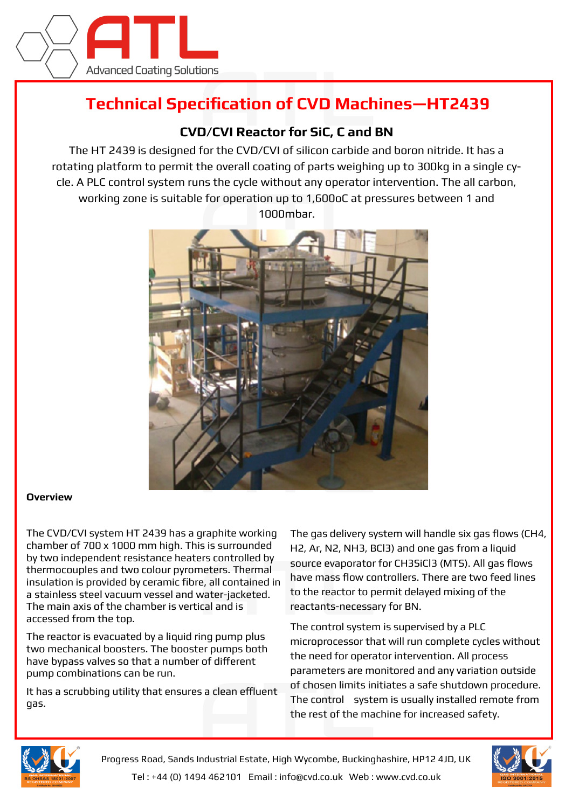

# **Technical Specification of CVD Machines—HT2439**

## **CVD/CVI Reactor for SiC, C and BN**

The HT 2439 is designed for the CVD/CVI of silicon carbide and boron nitride. It has a rotating platform to permit the overall coating of parts weighing up to 300kg in a single cycle. A PLC control system runs the cycle without any operator intervention. The all carbon, working zone is suitable for operation up to 1,600oC at pressures between 1 and 1000mbar.



#### **Overview**

The CVD/CVI system HT 2439 has a graphite working chamber of 700 x 1000 mm high. This is surrounded by two independent resistance heaters controlled by thermocouples and two colour pyrometers. Thermal insulation is provided by ceramic fibre, all contained in a stainless steel vacuum vessel and water-jacketed. The main axis of the chamber is vertical and is accessed from the top.

The reactor is evacuated by a liquid ring pump plus two mechanical boosters. The booster pumps both have bypass valves so that a number of different pump combinations can be run.

It has a scrubbing utility that ensures a clean effluent gas.

The gas delivery system will handle six gas flows (CH4, H2, Ar, N2, NH3, BCl3) and one gas from a liquid source evaporator for CH3SiCl3 (MTS). All gas flows have mass flow controllers. There are two feed lines to the reactor to permit delayed mixing of the reactants-necessary for BN.

The control system is supervised by a PLC microprocessor that will run complete cycles without the need for operator intervention. All process parameters are monitored and any variation outside of chosen limits initiates a safe shutdown procedure. The control system is usually installed remote from the rest of the machine for increased safety.



Progress Road, Sands Industrial Estate, High Wycombe, Buckinghashire, HP12 4JD, UK Tel : +44 (0) 1494 462101 Email : info@cvd.co.uk Web : www.cvd.co.uk